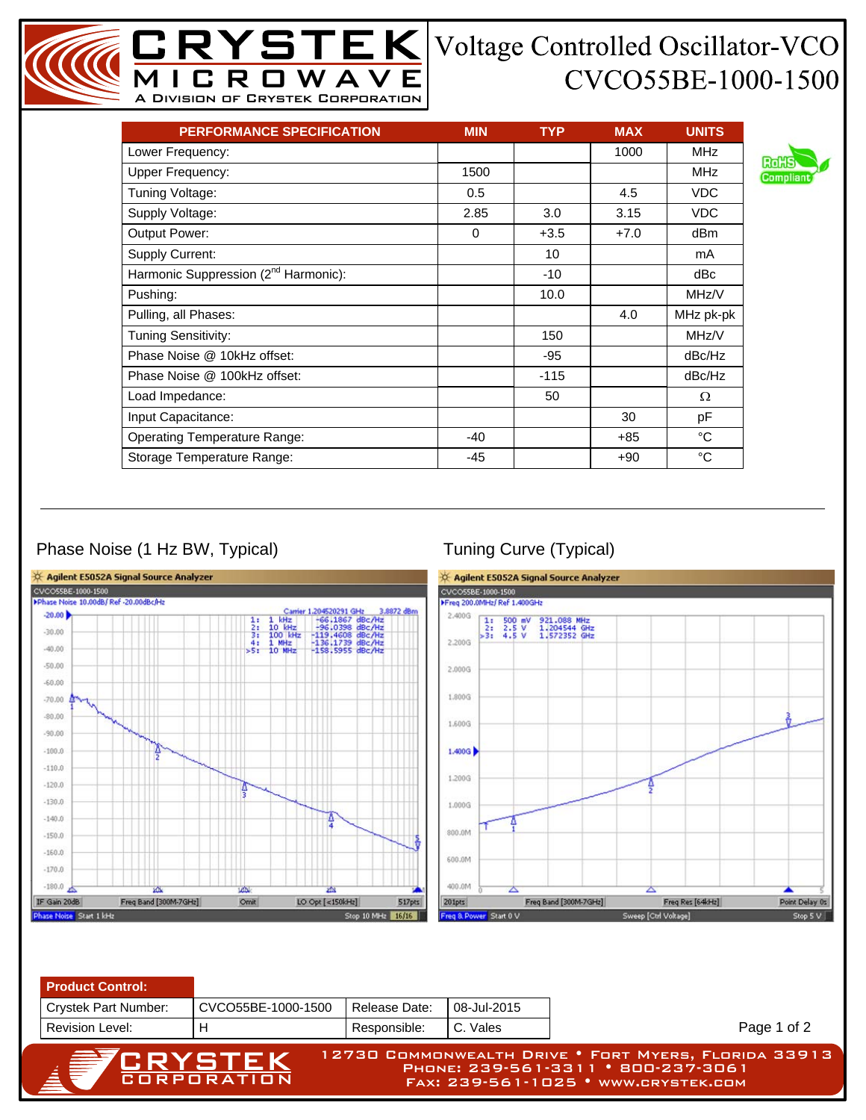## CVCO55BE-1000-1500

| <b>PERFORMANCE SPECIFICATION</b>                 | <b>MIN</b> | <b>TYP</b> | <b>MAX</b> | <b>UNITS</b> |
|--------------------------------------------------|------------|------------|------------|--------------|
| Lower Frequency:                                 |            |            | 1000       | <b>MHz</b>   |
| <b>Upper Frequency:</b>                          | 1500       |            |            | <b>MHz</b>   |
| Tuning Voltage:                                  | 0.5        |            | 4.5        | <b>VDC</b>   |
| Supply Voltage:                                  | 2.85       | 3.0        | 3.15       | <b>VDC</b>   |
| Output Power:                                    | $\Omega$   | $+3.5$     | $+7.0$     | dBm          |
| Supply Current:                                  |            | 10         |            | mA           |
| Harmonic Suppression (2 <sup>nd</sup> Harmonic): |            | $-10$      |            | dBc          |
| Pushing:                                         |            | 10.0       |            | MHz/V        |
| Pulling, all Phases:                             |            |            | 4.0        | MHz pk-pk    |
| Tuning Sensitivity:                              |            | 150        |            | MHz/V        |
| Phase Noise @ 10kHz offset:                      |            | -95        |            | dBc/Hz       |
| Phase Noise @ 100kHz offset:                     |            | $-115$     |            | dBc/Hz       |
| Load Impedance:                                  |            | 50         |            | Ω            |
| Input Capacitance:                               |            |            | 30         | pF           |
| <b>Operating Temperature Range:</b>              | -40        |            | $+85$      | $^{\circ}C$  |
| Storage Temperature Range:                       | $-45$      |            | $+90$      | $^{\circ}$ C |

MICROWAVE A Division of Crystek Corporation

## Phase Noise (1 Hz BW, Typical) Tuning Curve (Typical)